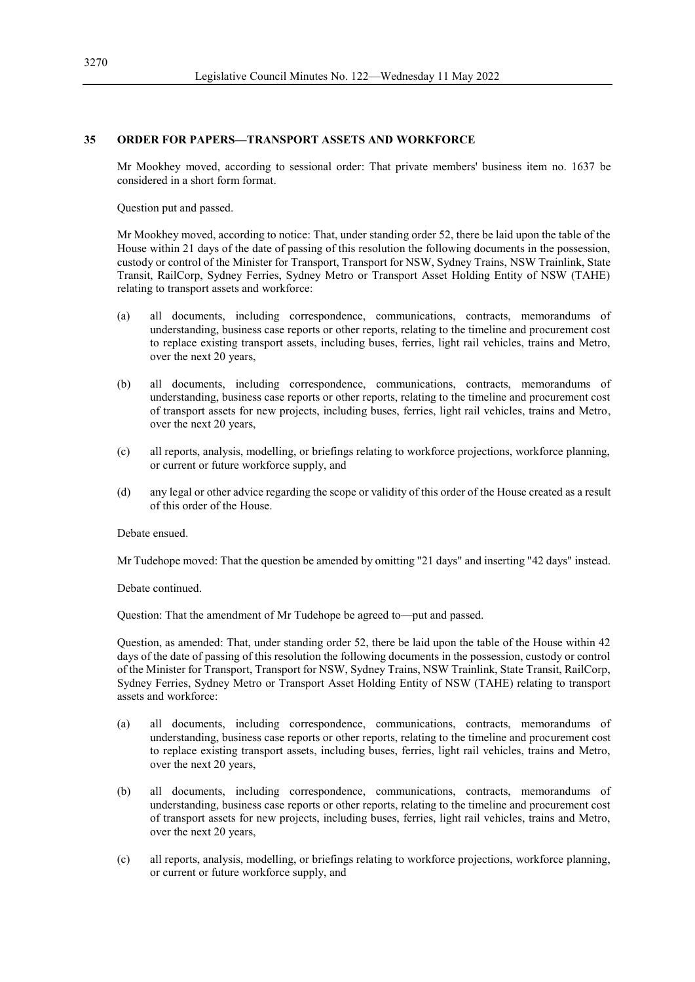## **35 ORDER FOR PAPERS—TRANSPORT ASSETS AND WORKFORCE**

Mr Mookhey moved, according to sessional order: That private members' business item no. 1637 be considered in a short form format.

Question put and passed.

Mr Mookhey moved, according to notice: That, under standing order 52, there be laid upon the table of the House within 21 days of the date of passing of this resolution the following documents in the possession, custody or control of the Minister for Transport, Transport for NSW, Sydney Trains, NSW Trainlink, State Transit, RailCorp, Sydney Ferries, Sydney Metro or Transport Asset Holding Entity of NSW (TAHE) relating to transport assets and workforce:

- (a) all documents, including correspondence, communications, contracts, memorandums of understanding, business case reports or other reports, relating to the timeline and procurement cost to replace existing transport assets, including buses, ferries, light rail vehicles, trains and Metro, over the next 20 years,
- (b) all documents, including correspondence, communications, contracts, memorandums of understanding, business case reports or other reports, relating to the timeline and procurement cost of transport assets for new projects, including buses, ferries, light rail vehicles, trains and Metro, over the next 20 years,
- (c) all reports, analysis, modelling, or briefings relating to workforce projections, workforce planning, or current or future workforce supply, and
- (d) any legal or other advice regarding the scope or validity of this order of the House created as a result of this order of the House.

Debate ensued.

Mr Tudehope moved: That the question be amended by omitting "21 days" and inserting "42 days" instead.

Debate continued.

Question: That the amendment of Mr Tudehope be agreed to—put and passed.

Question, as amended: That, under standing order 52, there be laid upon the table of the House within 42 days of the date of passing of this resolution the following documents in the possession, custody or control of the Minister for Transport, Transport for NSW, Sydney Trains, NSW Trainlink, State Transit, RailCorp, Sydney Ferries, Sydney Metro or Transport Asset Holding Entity of NSW (TAHE) relating to transport assets and workforce:

- (a) all documents, including correspondence, communications, contracts, memorandums of understanding, business case reports or other reports, relating to the timeline and procurement cost to replace existing transport assets, including buses, ferries, light rail vehicles, trains and Metro, over the next 20 years,
- (b) all documents, including correspondence, communications, contracts, memorandums of understanding, business case reports or other reports, relating to the timeline and procurement cost of transport assets for new projects, including buses, ferries, light rail vehicles, trains and Metro, over the next 20 years,
- (c) all reports, analysis, modelling, or briefings relating to workforce projections, workforce planning, or current or future workforce supply, and